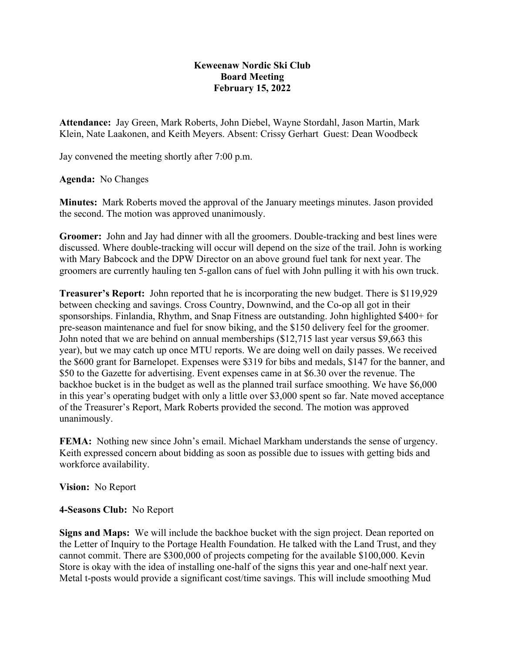## **Keweenaw Nordic Ski Club Board Meeting February 15, 2022**

**Attendance:** Jay Green, Mark Roberts, John Diebel, Wayne Stordahl, Jason Martin, Mark Klein, Nate Laakonen, and Keith Meyers. Absent: Crissy Gerhart Guest: Dean Woodbeck

Jay convened the meeting shortly after 7:00 p.m.

**Agenda:** No Changes

**Minutes:** Mark Roberts moved the approval of the January meetings minutes. Jason provided the second. The motion was approved unanimously.

**Groomer:** John and Jay had dinner with all the groomers. Double-tracking and best lines were discussed. Where double-tracking will occur will depend on the size of the trail. John is working with Mary Babcock and the DPW Director on an above ground fuel tank for next year. The groomers are currently hauling ten 5-gallon cans of fuel with John pulling it with his own truck.

**Treasurer's Report:** John reported that he is incorporating the new budget. There is \$119,929 between checking and savings. Cross Country, Downwind, and the Co-op all got in their sponsorships. Finlandia, Rhythm, and Snap Fitness are outstanding. John highlighted \$400+ for pre-season maintenance and fuel for snow biking, and the \$150 delivery feel for the groomer. John noted that we are behind on annual memberships (\$12,715 last year versus \$9,663 this year), but we may catch up once MTU reports. We are doing well on daily passes. We received the \$600 grant for Barnelopet. Expenses were \$319 for bibs and medals, \$147 for the banner, and \$50 to the Gazette for advertising. Event expenses came in at \$6.30 over the revenue. The backhoe bucket is in the budget as well as the planned trail surface smoothing. We have \$6,000 in this year's operating budget with only a little over \$3,000 spent so far. Nate moved acceptance of the Treasurer's Report, Mark Roberts provided the second. The motion was approved unanimously.

**FEMA:** Nothing new since John's email. Michael Markham understands the sense of urgency. Keith expressed concern about bidding as soon as possible due to issues with getting bids and workforce availability.

**Vision:** No Report

**4-Seasons Club:** No Report

**Signs and Maps:** We will include the backhoe bucket with the sign project. Dean reported on the Letter of Inquiry to the Portage Health Foundation. He talked with the Land Trust, and they cannot commit. There are \$300,000 of projects competing for the available \$100,000. Kevin Store is okay with the idea of installing one-half of the signs this year and one-half next year. Metal t-posts would provide a significant cost/time savings. This will include smoothing Mud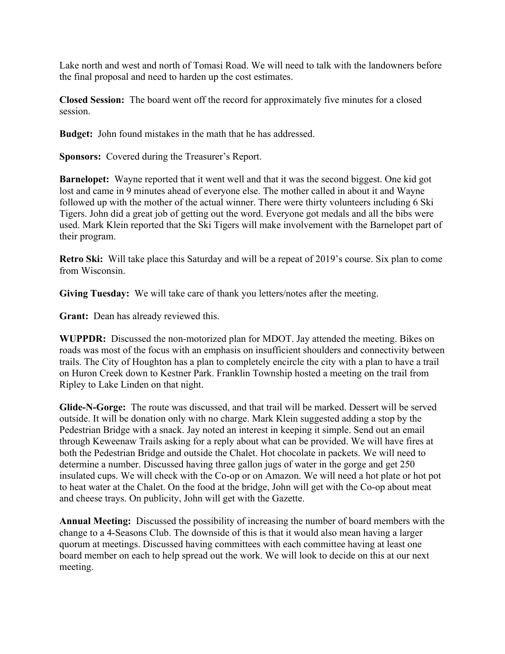Lake north and west and north of Tomasi Road. We will need to talk with the landowners before the final proposal and need to harden up the cost estimates.

**Closed Session:** The board went off the record for approximately five minutes for a closed session.

**Budget:** John found mistakes in the math that he has addressed.

**Sponsors:** Covered during the Treasurer's Report.

**Barnelopet:** Wayne reported that it went well and that it was the second biggest. One kid got lost and came in 9 minutes ahead of everyone else. The mother called in about it and Wayne followed up with the mother of the actual winner. There were thirty volunteers including 6 Ski Tigers. John did a great job of getting out the word. Everyone got medals and all the bibs were used. Mark Klein reported that the Ski Tigers will make involvement with the Barnelopet part of their program.

**Retro Ski:** Will take place this Saturday and will be a repeat of 2019's course. Six plan to come from Wisconsin.

**Giving Tuesday:** We will take care of thank you letters/notes after the meeting.

**Grant:** Dean has already reviewed this.

**WUPPDR:** Discussed the non-motorized plan for MDOT. Jay attended the meeting. Bikes on roads was most of the focus with an emphasis on insufficient shoulders and connectivity between trails. The City of Houghton has a plan to completely encircle the city with a plan to have a trail on Huron Creek down to Kestner Park. Franklin Township hosted a meeting on the trail from Ripley to Lake Linden on that night.

**Glide-N-Gorge:** The route was discussed, and that trail will be marked. Dessert will be served outside. It will be donation only with no charge. Mark Klein suggested adding a stop by the Pedestrian Bridge with a snack. Jay noted an interest in keeping it simple. Send out an email through Keweenaw Trails asking for a reply about what can be provided. We will have fires at both the Pedestrian Bridge and outside the Chalet. Hot chocolate in packets. We will need to determine a number. Discussed having three gallon jugs of water in the gorge and get 250 insulated cups. We will check with the Co-op or on Amazon. We will need a hot plate or hot pot to heat water at the Chalet. On the food at the bridge, John will get with the Co-op about meat and cheese trays. On publicity, John will get with the Gazette.

**Annual Meeting:** Discussed the possibility of increasing the number of board members with the change to a 4-Seasons Club. The downside of this is that it would also mean having a larger quorum at meetings. Discussed having committees with each committee having at least one board member on each to help spread out the work. We will look to decide on this at our next meeting.